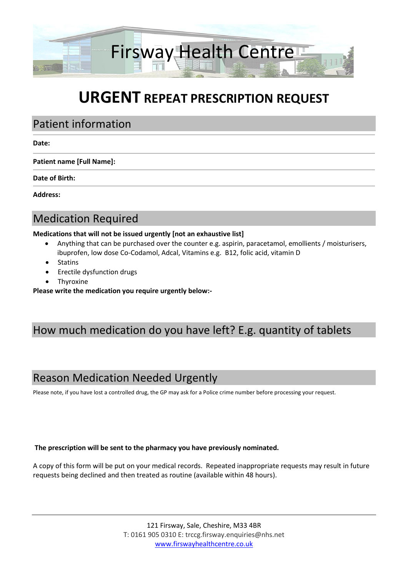

# **URGENT REPEAT PRESCRIPTION REQUEST**

### Patient information

#### **Date:**

**Patient name [Full Name]:**

**Date of Birth:**

**Address:**

# Medication Required

#### **Medications that will not be issued urgently [not an exhaustive list]**

- Anything that can be purchased over the counter e.g. aspirin, paracetamol, emollients / moisturisers, ibuprofen, low dose Co-Codamol, Adcal, Vitamins e.g. B12, folic acid, vitamin D
- Statins
- Erectile dysfunction drugs
- Thyroxine

**Please write the medication you require urgently below:-**

# How much medication do you have left? E.g. quantity of tablets

# Reason Medication Needed Urgently

Please note, if you have lost a controlled drug, the GP may ask for a Police crime number before processing your request.

#### **The prescription will be sent to the pharmacy you have previously nominated.**

A copy of this form will be put on your medical records. Repeated inappropriate requests may result in future requests being declined and then treated as routine (available within 48 hours).